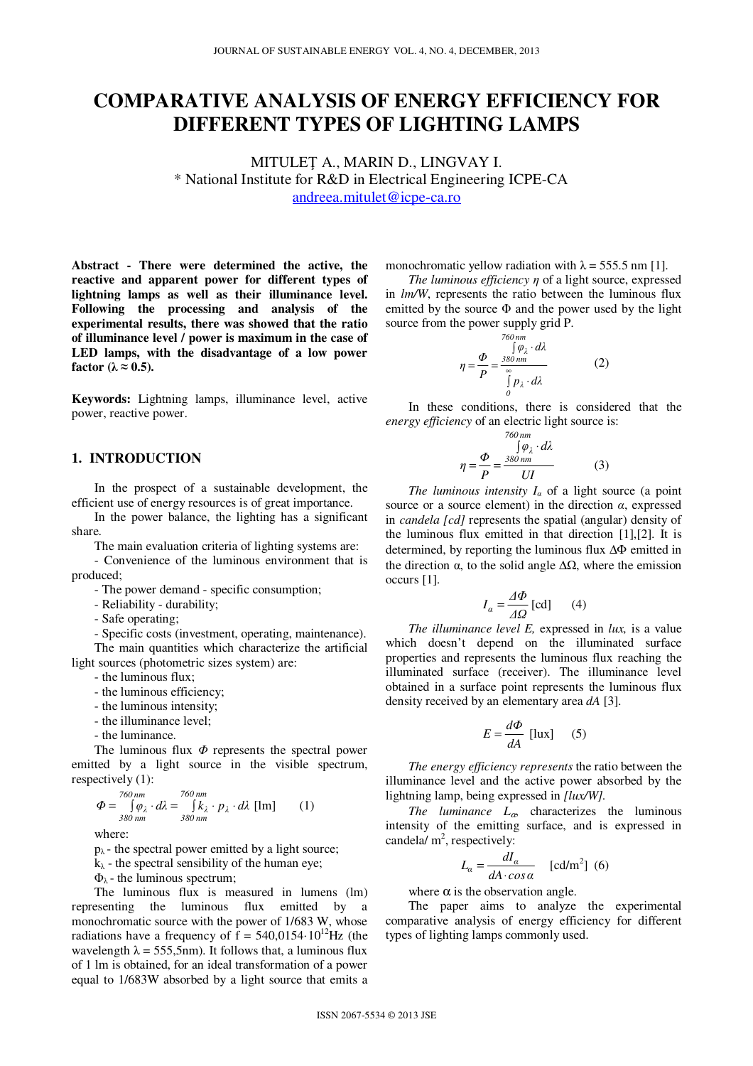# **COMPARATIVE ANALYSIS OF ENERGY EFFICIENCY FOR DIFFERENT TYPES OF LIGHTING LAMPS**

MITULEŢ A., MARIN D., LINGVAY I. \* National Institute for R&D in Electrical Engineering ICPE-CA andreea.mitulet@icpe-ca.ro

**Abstract - There were determined the active, the reactive and apparent power for different types of lightning lamps as well as their illuminance level. Following the processing and analysis of the experimental results, there was showed that the ratio of illuminance level / power is maximum in the case of LED lamps, with the disadvantage of a low power factor** ( $\lambda \approx 0.5$ ).

**Keywords:** Lightning lamps, illuminance level, active power, reactive power.

# **1. INTRODUCTION**

In the prospect of a sustainable development, the efficient use of energy resources is of great importance.

In the power balance, the lighting has a significant share.

The main evaluation criteria of lighting systems are:

- Convenience of the luminous environment that is produced;

- The power demand - specific consumption;

- Reliability - durability;

- Safe operating;

- Specific costs (investment, operating, maintenance). The main quantities which characterize the artificial

light sources (photometric sizes system) are:

- the luminous flux;

- the luminous efficiency;

- the luminous intensity;

- the illuminance level;

- the luminance.

The luminous flux  $\Phi$  represents the spectral power emitted by a light source in the visible spectrum, respectively (1):

$$
\Phi = \int_{380 \, \text{nm}}^{760 \, \text{nm}} \rho_{\lambda} \cdot d\lambda = \int_{380 \, \text{nm}}^{760 \, \text{nm}} k_{\lambda} \cdot p_{\lambda} \cdot d\lambda \, [\text{lm}] \qquad (1)
$$

where:

 $p_{\lambda}$  - the spectral power emitted by a light source;

 $k_{\lambda}$  - the spectral sensibility of the human eye;

 $Φ<sub>λ</sub>$  - the luminous spectrum;

The luminous flux is measured in lumens (lm) representing the luminous flux emitted by a monochromatic source with the power of 1/683 W, whose radiations have a frequency of  $\bar{f} = 540,0154 \cdot 10^{12}$  Hz (the wavelength  $\lambda = 555,5$ nm). It follows that, a luminous flux of 1 lm is obtained, for an ideal transformation of a power equal to 1/683W absorbed by a light source that emits a monochromatic yellow radiation with  $\lambda = 555.5$  nm [1].

*The luminous efficiency* η of a light source, expressed in *lm/W*, represents the ratio between the luminous flux emitted by the source  $\Phi$  and the power used by the light source from the power supply grid P.

$$
\eta = \frac{\Phi}{P} = \frac{\int_{\delta Q_1}^{\delta Q_2} \rho \, d\lambda}{\int_{0}^{\infty} P_\lambda \cdot d\lambda} \tag{2}
$$

In these conditions, there is considered that the *energy efficiency* of an electric light source is:

$$
\eta = \frac{\Phi}{P} = \frac{\frac{760 \, \text{nm}}{\sqrt{9} \, \lambda} \cdot d\lambda}{UI} \tag{3}
$$

*The luminous intensity*  $I_a$  of a light source (a point source or a source element) in the direction  $\alpha$ , expressed in *candela [cd]* represents the spatial (angular) density of the luminous flux emitted in that direction [1],[2]. It is determined, by reporting the luminous flux ∆Φ emitted in the direction  $\alpha$ , to the solid angle  $\Delta\Omega$ , where the emission occurs [1].

$$
I_{\alpha} = \frac{\Delta \Phi}{\Delta \Omega} \text{ [cd]} \qquad (4)
$$

*The illuminance level E,* expressed in *lux,* is a value which doesn't depend on the illuminated surface properties and represents the luminous flux reaching the illuminated surface (receiver). The illuminance level obtained in a surface point represents the luminous flux density received by an elementary area *dA* [3].

$$
E = \frac{d\Phi}{dA} \text{ [lux]} \quad (5)
$$

*The energy efficiency represents* the ratio between the illuminance level and the active power absorbed by the lightning lamp, being expressed in *[lux/W].*

*The luminance L*α, characterizes the luminous intensity of the emitting surface, and is expressed in candela/ $m^2$ , respectively:

$$
L_{\alpha} = \frac{dI_{\alpha}}{dA \cdot \cos \alpha} \quad \text{[cd/m}^2\text{]} \tag{6}
$$

where  $\alpha$  is the observation angle.

The paper aims to analyze the experimental comparative analysis of energy efficiency for different types of lighting lamps commonly used.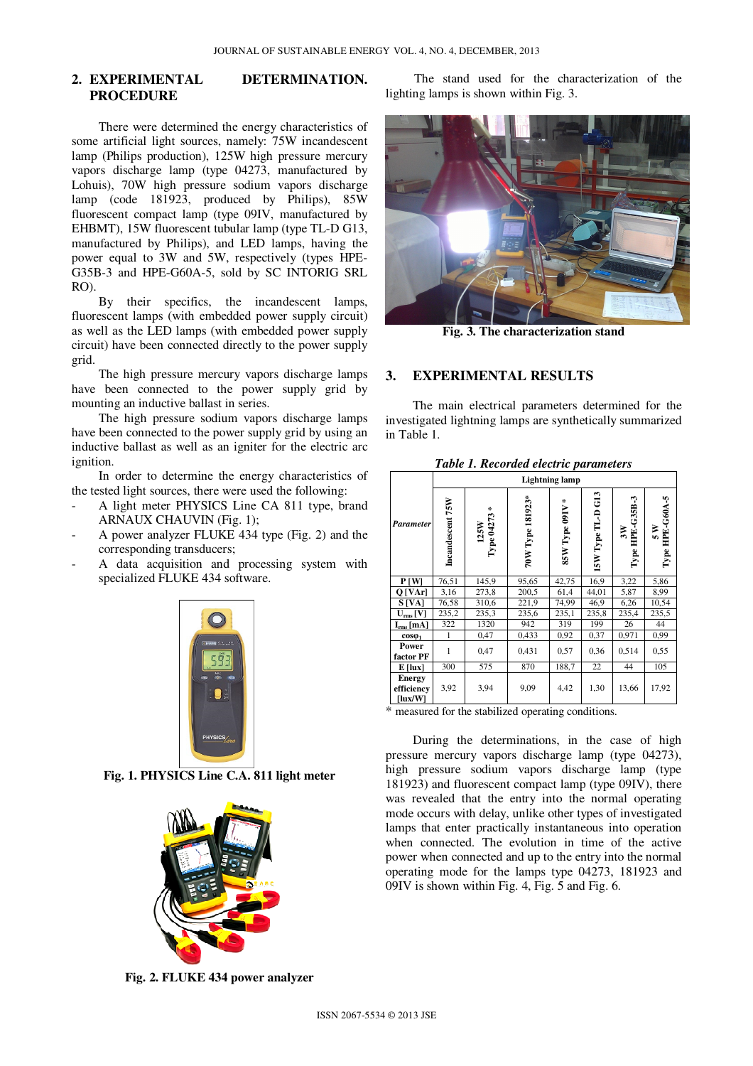# **2. EXPERIMENTAL DETERMINATION. PROCEDURE**

There were determined the energy characteristics of some artificial light sources, namely: 75W incandescent lamp (Philips production), 125W high pressure mercury vapors discharge lamp (type 04273, manufactured by Lohuis), 70W high pressure sodium vapors discharge lamp (code 181923, produced by Philips), 85W fluorescent compact lamp (type 09IV, manufactured by EHBMT), 15W fluorescent tubular lamp (type TL-D G13, manufactured by Philips), and LED lamps, having the power equal to 3W and 5W, respectively (types HPE-G35B-3 and HPE-G60A-5, sold by SC INTORIG SRL RO).

By their specifics, the incandescent lamps, fluorescent lamps (with embedded power supply circuit) as well as the LED lamps (with embedded power supply circuit) have been connected directly to the power supply grid.

The high pressure mercury vapors discharge lamps have been connected to the power supply grid by mounting an inductive ballast in series.

The high pressure sodium vapors discharge lamps have been connected to the power supply grid by using an inductive ballast as well as an igniter for the electric arc ignition.

In order to determine the energy characteristics of the tested light sources, there were used the following:

- A light meter PHYSICS Line CA 811 type, brand ARNAUX CHAUVIN (Fig. 1);
- A power analyzer FLUKE 434 type (Fig. 2) and the corresponding transducers;
- A data acquisition and processing system with specialized FLUKE 434 software.



**Fig. 1. PHYSICS Line C.A. 811 light meter** 



**Fig. 2. FLUKE 434 power analyzer** 

 The stand used for the characterization of the lighting lamps is shown within Fig. 3.



**Fig. 3. The characterization stand** 

### **3. EXPERIMENTAL RESULTS**

The main electrical parameters determined for the investigated lightning lamps are synthetically summarized in Table 1.

|                                               | vu ve pau aniverei s<br><b>Lightning lamp</b> |                                     |                  |                 |                     |                       |                           |
|-----------------------------------------------|-----------------------------------------------|-------------------------------------|------------------|-----------------|---------------------|-----------------------|---------------------------|
| Parameter                                     | Incandescent 75W                              | $\mathcal{X}$<br>Type 04273<br>125W | 70W Type 181923* | 85W Type 09IV * | $15W$ Type TL-D G13 | Type HPE-G35B-3<br>3W | Type HPE-G60A-5<br>∏<br>S |
| P[W]                                          | 76,51                                         | 145,9                               | 95,65            | 42,75           | 16,9                | 3,22                  | 5,86                      |
| $Q$ [VAr]                                     | 3,16                                          | 273,8                               | 200,5            | 61,4            | 44,01               | 5,87                  | 8,99                      |
| S <sub>[VA]</sub>                             | 76,58                                         | 310,6                               | 221,9            | 74,99           | 46,9                | 6,26                  | 10,54                     |
| $\mathbf{U}_{\rm rms}\left[\mathbf{V}\right]$ | 235,2                                         | 235,3                               | 235,6            | 235,1           | 235,8               | 235,4                 | 235,5                     |
| $I_{rms}$ [mA]                                | 322                                           | 1320                                | 942              | 319             | 199                 | 26                    | 44                        |
| $cos\phi_1$                                   | 1                                             | 0,47                                | 0,433            | 0,92            | 0,37                | 0,971                 | 0,99                      |
| Power<br>factor PF                            | 1                                             | 0,47                                | 0,431            | 0,57            | 0,36                | 0,514                 | 0,55                      |
| $E$ [lux]                                     | 300                                           | 575                                 | 870              | 188,7           | 22                  | 44                    | 105                       |
| <b>Energy</b><br>efficiency<br>[lux/W]        | 3,92                                          | 3,94                                | 9,09             | 4,42            | 1,30                | 13,66                 | 17,92                     |

*Table 1. Recorded electric parameters* 

\* measured for the stabilized operating conditions.

 During the determinations, in the case of high pressure mercury vapors discharge lamp (type 04273), high pressure sodium vapors discharge lamp (type 181923) and fluorescent compact lamp (type 09IV), there was revealed that the entry into the normal operating mode occurs with delay, unlike other types of investigated lamps that enter practically instantaneous into operation when connected. The evolution in time of the active power when connected and up to the entry into the normal operating mode for the lamps type 04273, 181923 and 09IV is shown within Fig. 4, Fig. 5 and Fig. 6.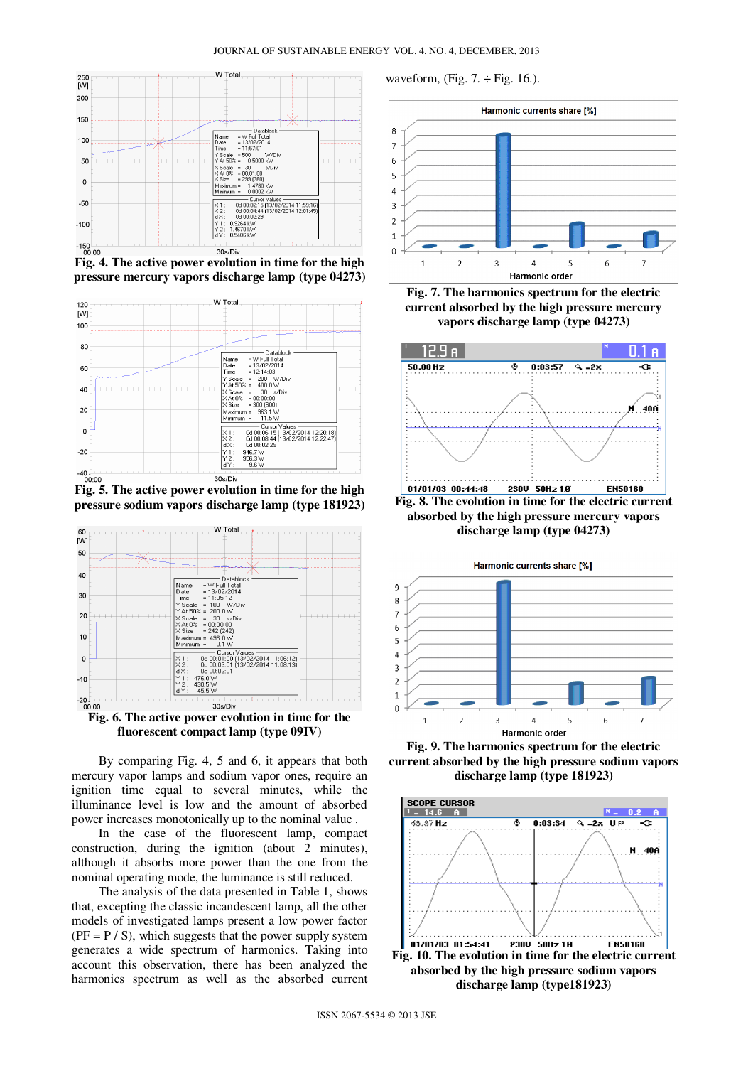#### JOURNAL OF SUSTAINABLE ENERGY VOL. 4, NO. 4, DECEMBER, 2013



**Fig. 4. The active power evolution in time for the high pressure mercury vapors discharge lamp (type 04273)** 



**pressure sodium vapors discharge lamp (type 181923)**





By comparing Fig. 4, 5 and 6, it appears that both mercury vapor lamps and sodium vapor ones, require an ignition time equal to several minutes, while the illuminance level is low and the amount of absorbed power increases monotonically up to the nominal value .

In the case of the fluorescent lamp, compact construction, during the ignition (about 2 minutes), although it absorbs more power than the one from the nominal operating mode, the luminance is still reduced.

The analysis of the data presented in Table 1, shows that, excepting the classic incandescent lamp, all the other models of investigated lamps present a low power factor  $(PF = P / S)$ , which suggests that the power supply system generates a wide spectrum of harmonics. Taking into account this observation, there has been analyzed the harmonics spectrum as well as the absorbed current waveform, (Fig.  $7. \div$ Fig. 16.).



**Fig. 7. The harmonics spectrum for the electric current absorbed by the high pressure mercury vapors discharge lamp (type 04273)**



**discharge lamp (type 04273)** 



**Fig. 9. The harmonics spectrum for the electric current absorbed by the high pressure sodium vapors discharge lamp (type 181923)** 

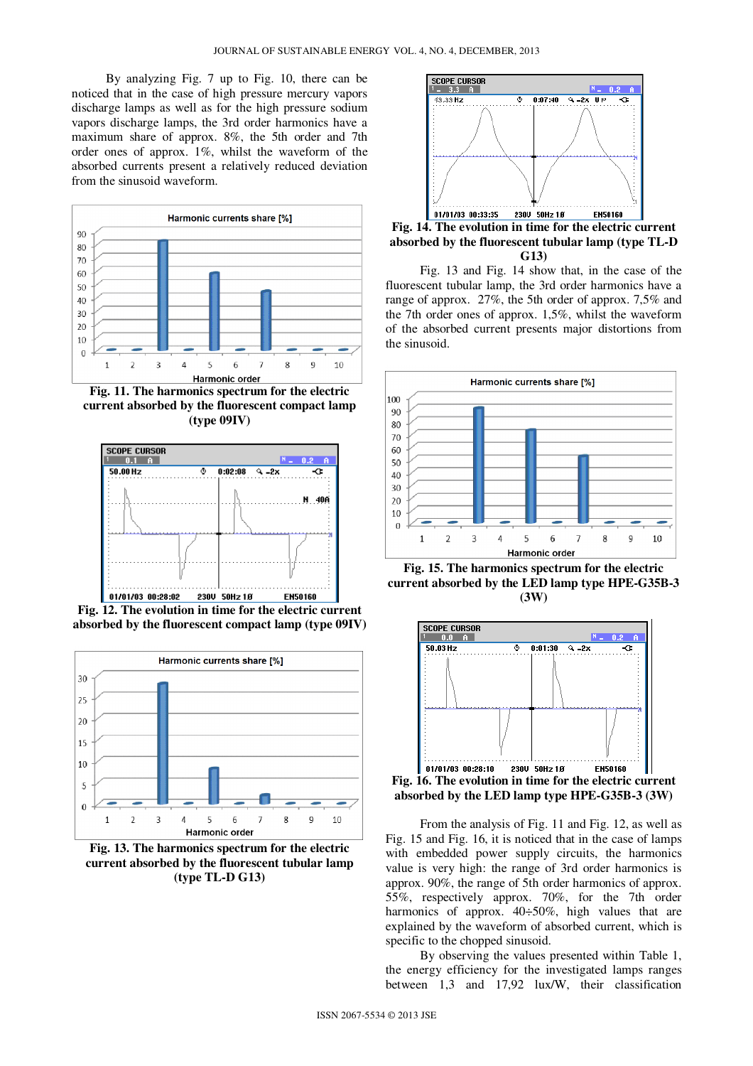By analyzing Fig. 7 up to Fig. 10, there can be noticed that in the case of high pressure mercury vapors discharge lamps as well as for the high pressure sodium vapors discharge lamps, the 3rd order harmonics have a maximum share of approx. 8%, the 5th order and 7th order ones of approx. 1%, whilst the waveform of the absorbed currents present a relatively reduced deviation from the sinusoid waveform.



**Fig. 11. The harmonics spectrum for the electric current absorbed by the fluorescent compact lamp (type 09IV)** 



**Fig. 12. The evolution in time for the electric current absorbed by the fluorescent compact lamp (type 09IV)** 



**Fig. 13. The harmonics spectrum for the electric current absorbed by the fluorescent tubular lamp (type TL-D G13)** 



**Fig. 14. The evolution in time for the electric current absorbed by the fluorescent tubular lamp (type TL-D G13)** 

Fig. 13 and Fig. 14 show that, in the case of the fluorescent tubular lamp, the 3rd order harmonics have a range of approx. 27%, the 5th order of approx. 7,5% and the 7th order ones of approx. 1,5%, whilst the waveform of the absorbed current presents major distortions from the sinusoid.



**Fig. 15. The harmonics spectrum for the electric current absorbed by the LED lamp type HPE-G35B-3 (3W)** 



**absorbed by the LED lamp type HPE-G35B-3 (3W)** 

From the analysis of Fig. 11 and Fig. 12, as well as Fig. 15 and Fig. 16, it is noticed that in the case of lamps with embedded power supply circuits, the harmonics value is very high: the range of 3rd order harmonics is approx. 90%, the range of 5th order harmonics of approx. 55%, respectively approx. 70%, for the 7th order harmonics of approx.  $40\div 50\%$ , high values that are explained by the waveform of absorbed current, which is specific to the chopped sinusoid.

By observing the values presented within Table 1, the energy efficiency for the investigated lamps ranges between 1,3 and 17,92 lux/W, their classification